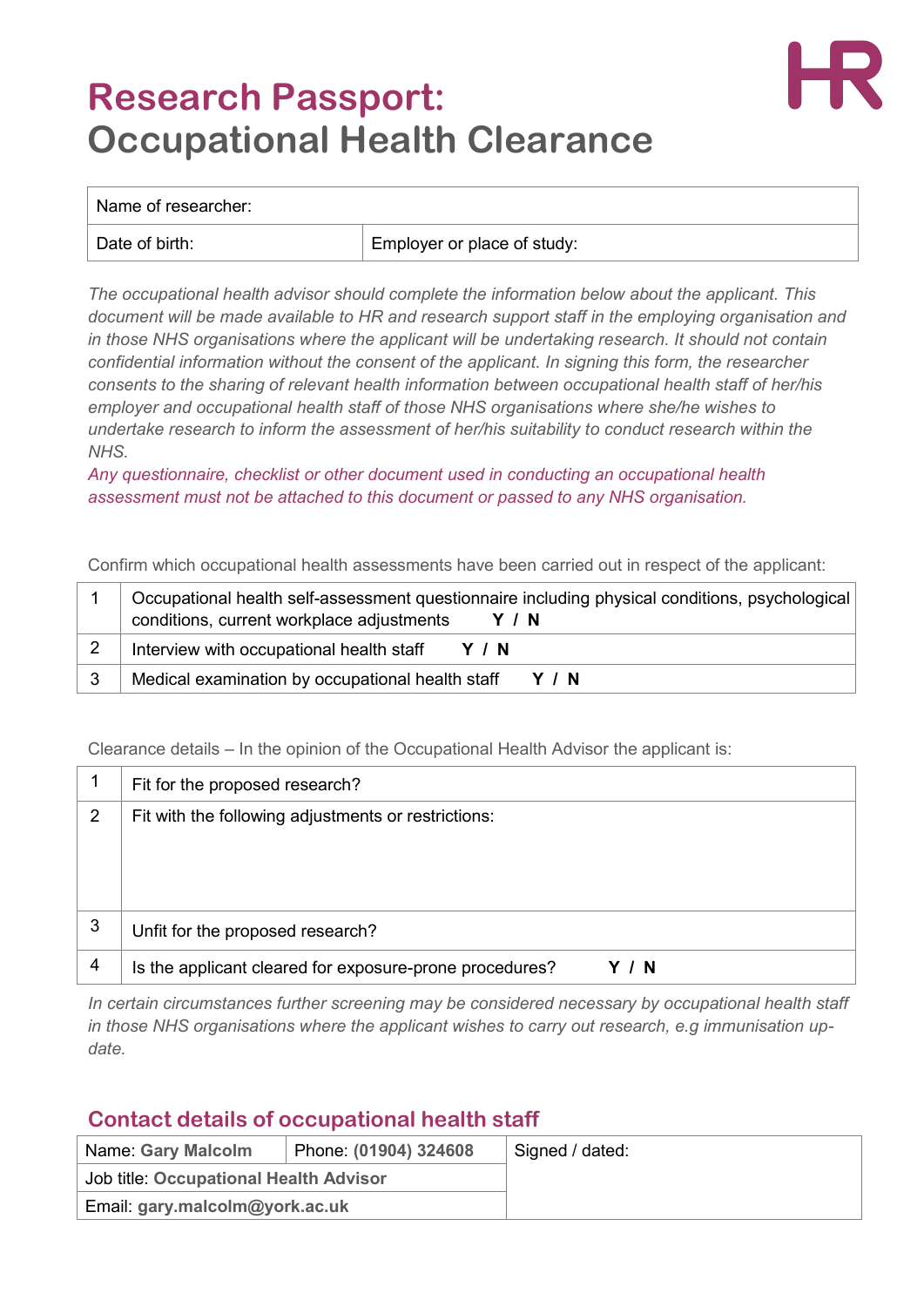## **Research Passport: Occupational Health Clearance**



## Name of researcher:

Date of birth:  $\vert$  Employer or place of study:

*The occupational health advisor should complete the information below about the applicant. This document will be made available to HR and research support staff in the employing organisation and in those NHS organisations where the applicant will be undertaking research. It should not contain confidential information without the consent of the applicant. In signing this form, the researcher consents to the sharing of relevant health information between occupational health staff of her/his employer and occupational health staff of those NHS organisations where she/he wishes to undertake research to inform the assessment of her/his suitability to conduct research within the NHS.*

*Any questionnaire, checklist or other document used in conducting an occupational health assessment must not be attached to this document or passed to any NHS organisation.*

Confirm which occupational health assessments have been carried out in respect of the applicant:

| Occupational health self-assessment questionnaire including physical conditions, psychological<br>conditions, current workplace adjustments<br>Y / N |
|------------------------------------------------------------------------------------------------------------------------------------------------------|
| Interview with occupational health staff<br>Y / N                                                                                                    |
| Medical examination by occupational health staff<br>Y / N                                                                                            |

Clearance details – In the opinion of the Occupational Health Advisor the applicant is:

|   | Fit for the proposed research?                                 |  |  |
|---|----------------------------------------------------------------|--|--|
| 2 | Fit with the following adjustments or restrictions:            |  |  |
|   |                                                                |  |  |
|   |                                                                |  |  |
| 3 | Unfit for the proposed research?                               |  |  |
|   |                                                                |  |  |
| 4 | Is the applicant cleared for exposure-prone procedures?<br>- N |  |  |

*In certain circumstances further screening may be considered necessary by occupational health staff in those NHS organisations where the applicant wishes to carry out research, e.g immunisation update.*

## **Contact details of occupational health staff**

| Name: Gary Malcolm                     | Phone: (01904) 324608 | Signed / dated: |
|----------------------------------------|-----------------------|-----------------|
| Job title: Occupational Health Advisor |                       |                 |
| Email: gary.malcolm@york.ac.uk         |                       |                 |